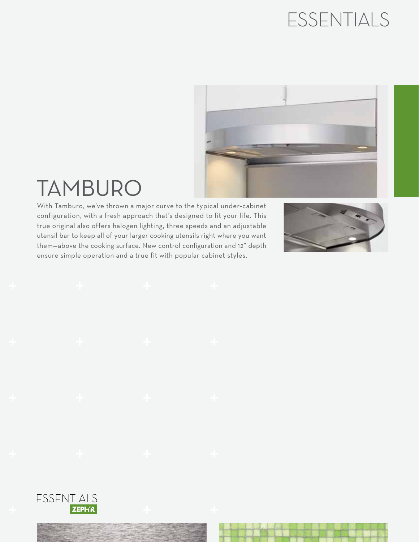## ESSENTIALS



## TAMBURO

With Tamburo, we've thrown a major curve to the typical under-cabinet configuration, with a fresh approach that's designed to fit your life. This true original also offers halogen lighting, three speeds and an adjustable utensil bar to keep all of your larger cooking utensils right where you want them—above the cooking surface. New control configuration and 12" depth ensure simple operation and a true fit with popular cabinet styles.